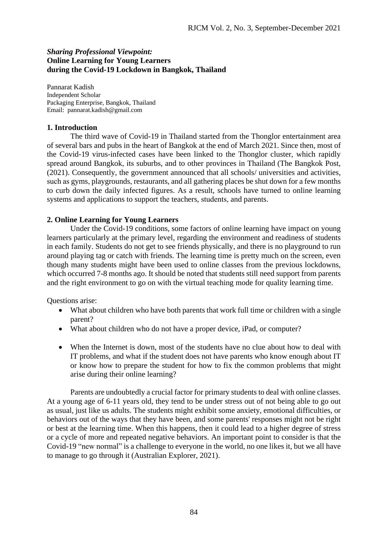# *Sharing Professional Viewpoint:* **Online Learning for Young Learners during the Covid-19 Lockdown in Bangkok, Thailand**

Pannarat Kadish Independent Scholar Packaging Enterprise, Bangkok, Thailand Email: pannarat.kadish@gmail.com

## **1. Introduction**

The third wave of Covid-19 in Thailand started from the Thonglor entertainment area of several bars and pubs in the heart of Bangkok at the end of March 2021. Since then, most of the Covid-19 virus-infected cases have been linked to the Thonglor cluster, which rapidly spread around Bangkok, its suburbs, and to other provinces in Thailand (The Bangkok Post, (2021). Consequently, the government announced that all schools/ universities and activities, such as gyms, playgrounds, restaurants, and all gathering places be shut down for a few months to curb down the daily infected figures. As a result, schools have turned to online learning systems and applications to support the teachers, students, and parents.

## **2. Online Learning for Young Learners**

Under the Covid-19 conditions, some factors of online learning have impact on young learners particularly at the primary level, regarding the environment and readiness of students in each family. Students do not get to see friends physically, and there is no playground to run around playing tag or catch with friends. The learning time is pretty much on the screen, even though many students might have been used to online classes from the previous lockdowns, which occurred 7-8 months ago. It should be noted that students still need support from parents and the right environment to go on with the virtual teaching mode for quality learning time.

Questions arise:

- What about children who have both parents that work full time or children with a single parent?
- What about children who do not have a proper device, iPad, or computer?
- When the Internet is down, most of the students have no clue about how to deal with IT problems, and what if the student does not have parents who know enough about IT or know how to prepare the student for how to fix the common problems that might arise during their online learning?

Parents are undoubtedly a crucial factor for primary students to deal with online classes. At a young age of 6-11 years old, they tend to be under stress out of not being able to go out as usual, just like us adults. The students might exhibit some anxiety, emotional difficulties, or behaviors out of the ways that they have been, and some parents' responses might not be right or best at the learning time. When this happens, then it could lead to a higher degree of stress or a cycle of more and repeated negative behaviors. An important point to consider is that the Covid-19 "new normal" is a challenge to everyone in the world, no one likes it, but we all have to manage to go through it (Australian Explorer, 2021).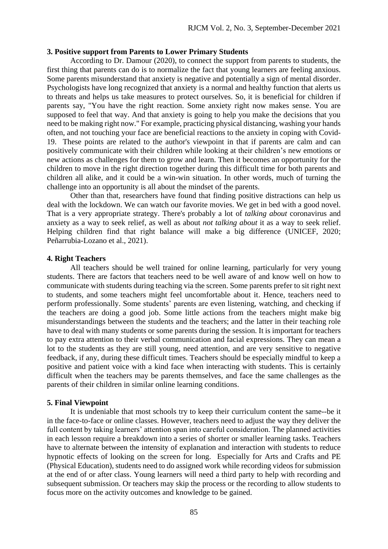### **3. Positive support from Parents to Lower Primary Students**

According to Dr. Damour (2020), to connect the support from parents to students, the first thing that parents can do is to normalize the fact that young learners are feeling anxious. Some parents misunderstand that anxiety is negative and potentially a sign of mental disorder. Psychologists have long recognized that anxiety is a normal and healthy function that alerts us to threats and helps us take measures to protect ourselves. So, it is beneficial for children if parents say, "You have the right reaction. Some anxiety right now makes sense. You are supposed to feel that way. And that anxiety is going to help you make the decisions that you need to be making right now." For example, practicing physical distancing, washing your hands often, and not touching your face are beneficial reactions to the anxiety in coping with Covid-19. These points are related to the author's viewpoint in that if parents are calm and can positively communicate with their children while looking at their children's new emotions or new actions as challenges for them to grow and learn. Then it becomes an opportunity for the children to move in the right direction together during this difficult time for both parents and children all alike, and it could be a win-win situation. In other words, much of turning the challenge into an opportunity is all about the mindset of the parents.

Other than that, researchers have found that finding positive distractions can help us deal with the lockdown. We can watch our favorite movies. We get in bed with a good novel. That is a very appropriate strategy. There's probably a lot of *talking about* coronavirus and anxiety as a way to seek relief, as well as about *not talking about* it as a way to seek relief. Helping children find that right balance will make a big difference (UNICEF, 2020; Peñarrubia-Lozano et al., 2021).

#### **4. Right Teachers**

All teachers should be well trained for online learning, particularly for very young students. There are factors that teachers need to be well aware of and know well on how to communicate with students during teaching via the screen. Some parents prefer to sit right next to students, and some teachers might feel uncomfortable about it. Hence, teachers need to perform professionally. Some students' parents are even listening, watching, and checking if the teachers are doing a good job. Some little actions from the teachers might make big misunderstandings between the students and the teachers; and the latter in their teaching role have to deal with many students or some parents during the session. It is important for teachers to pay extra attention to their verbal communication and facial expressions. They can mean a lot to the students as they are still young, need attention, and are very sensitive to negative feedback, if any, during these difficult times. Teachers should be especially mindful to keep a positive and patient voice with a kind face when interacting with students. This is certainly difficult when the teachers may be parents themselves, and face the same challenges as the parents of their children in similar online learning conditions.

#### **5. Final Viewpoint**

It is undeniable that most schools try to keep their curriculum content the same--be it in the face-to-face or online classes. However, teachers need to adjust the way they deliver the full content by taking learners' attention span into careful consideration. The planned activities in each lesson require a breakdown into a series of shorter or smaller learning tasks. Teachers have to alternate between the intensity of explanation and interaction with students to reduce hypnotic effects of looking on the screen for long. Especially for Arts and Crafts and PE (Physical Education), students need to do assigned work while recording videos for submission at the end of or after class. Young learners will need a third party to help with recording and subsequent submission. Or teachers may skip the process or the recording to allow students to focus more on the activity outcomes and knowledge to be gained.